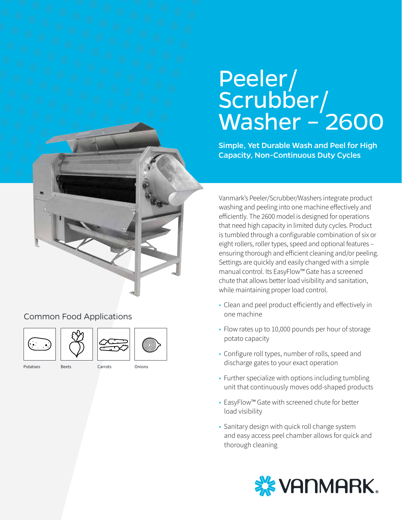# Peeler/ Scrubber/ Washer –<sup>'</sup>2600

Simple, Yet Durable Wash and Peel for High Capacity, Non-Continuous Duty Cycles

Vanmark's Peeler/Scrubber/Washers integrate product washing and peeling into one machine effectively and efficiently. The 2600 model is designed for operations that need high capacity in limited duty cycles. Product is tumbled through a configurable combination of six or eight rollers, roller types, speed and optional features – ensuring thorough and efficient cleaning and/or peeling. Settings are quickly and easily changed with a simple manual control. Its EasyFlow™ Gate has a screened chute that allows better load visibility and sanitation, while maintaining proper load control.

- Clean and peel product efficiently and effectively in one machine
- Flow rates up to 10,000 pounds per hour of storage potato capacity
- Configure roll types, number of rolls, speed and discharge gates to your exact operation
- Further specialize with options including tumbling unit that continuously moves odd-shaped products
- EasyFlow™ Gate with screened chute for better load visibility
- Sanitary design with quick roll change system and easy access peel chamber allows for quick and thorough cleaning



Common Food Applications





- Potatoes Beets Carrots Onions
-